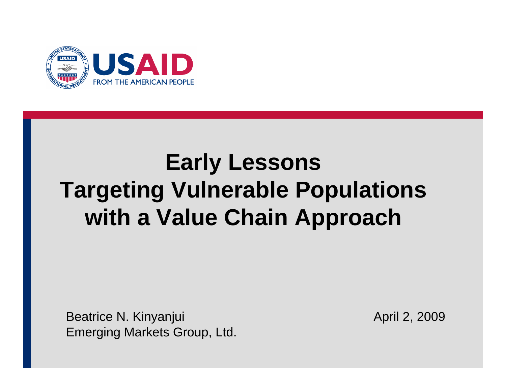

# **Early Lessons Targeting Vulnerable Populations with a Value Chain Approach**

Beatrice N. Kinyanjui **April 2, 2009** Emerging Markets Group, Ltd.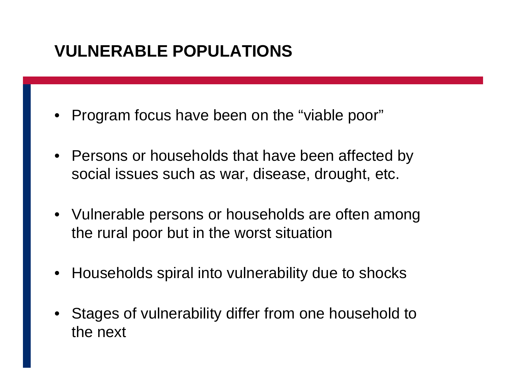#### **VULNERABLE POPULATIONS**

- •Program focus have been on the "viable poor"
- Persons or households that have been affected by social issues such as war, disease, drought, etc.
- Vulnerable persons or households are often among the rural poor but in the worst situation
- Households spiral into vulnerability due to shocks
- •Stages of vulnerability differ from one household to the next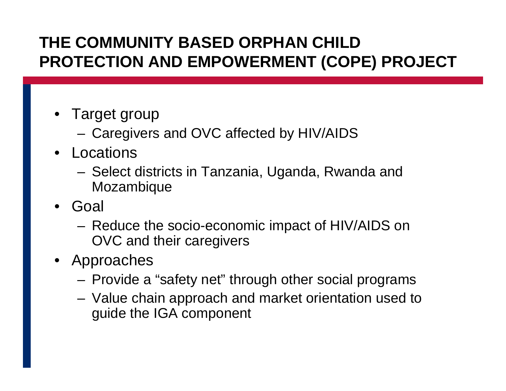#### **THE COMMUNITY BASED ORPHAN CHILD PROTECTION AND EMPOWERMENT (COPE) PROJECT**

- Target group
	- Caregivers and OVC affected by HIV/AIDS
- •Locations
	- Select districts in Tanzania, Uganda, Rwanda and Mozambique
- Goal
	- Reduce the socio-economic impact of HIV/AIDS on OVC and their caregivers
- Approaches
	- Provide a "safety net" through other social programs
	- Value chain approach and market orientation used to guide the IGA component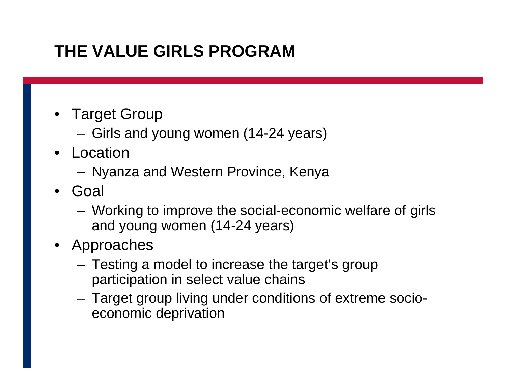## **THE VALUE GIRLS PROGRAM**

- Target Group
	- Girls and young women (14-24 years)
- •Location
	- Nyanza and Western Province, Kenya
- Goal
	- Working to improve the social-economic welfare of girls and young women (14-24 years)
- Approaches
	- Testing a model to increase the target's group participation in select value chains
	- Target group living under conditions of extreme socioeconomic deprivation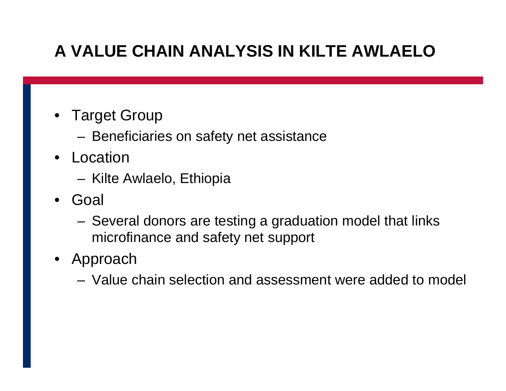## **A VALUE CHAIN ANALYSIS IN KILTE AWLAELO**

- Target Group
	- Beneficiaries on safety net assistance
- •Location
	- Kilte Awlaelo, Ethiopia
- Goal
	- Several donors are testing a graduation model that links microfinance and safety net support
- Approach
	- –Value chain selection and assessment were added to model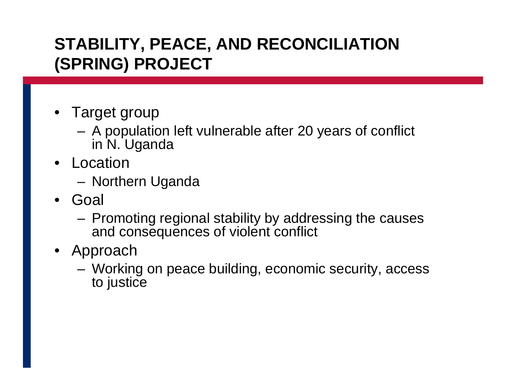#### **STABILITY, PEACE, AND RECONCILIATION (SPRING) PROJECT**

- Target group
	- A population left vulnerable after 20 years of conflict in N. Uganda
- •Location
	- Northern Uganda
- Goal
	- Promoting regional stability by addressing the causes and consequences of violent conflict
- $\bullet$  Approach
	- Working on peace building, economic security, access to justice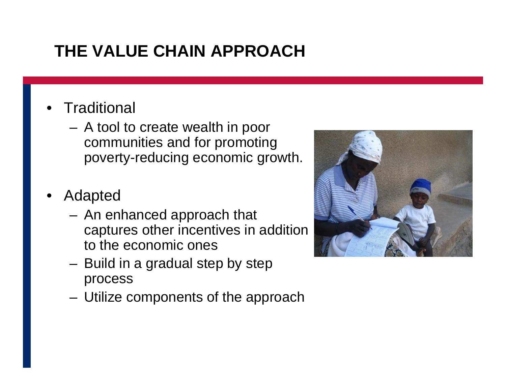## **THE VALUE CHAIN APPROACH**

- •**Traditional** 
	- A tool to create wealth in poor communities and for promoting poverty-reducing economic growth.
- •Adapted
	- An enhanced approach that captures other incentives in addition to the economic ones
	- Build in a gradual step by step process
	- Utilize components of the approach

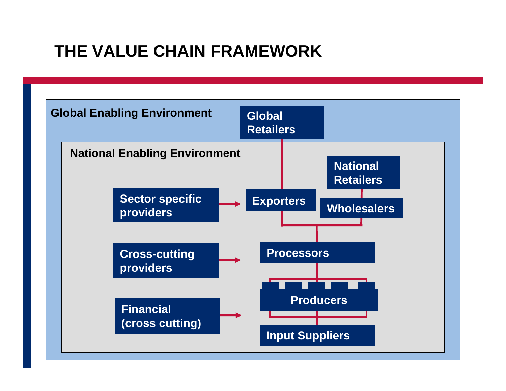## **THE VALUE CHAIN FRAMEWORK**

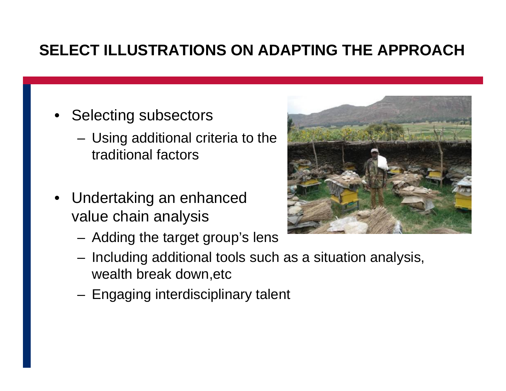#### **SELECT ILLUSTRATIONS ON ADAPTING THE APPROACH**

- Selecting subsectors
	- Using additional criteria to the traditional factors
- Undertaking an enhanced value chain analysis
	- Adding the target group's lens
	- **Links of the Company**  $-$  Including additional tools such as a situation analysis,  $\,$ wealth break down,etc
	- Engaging interdisciplinary talent

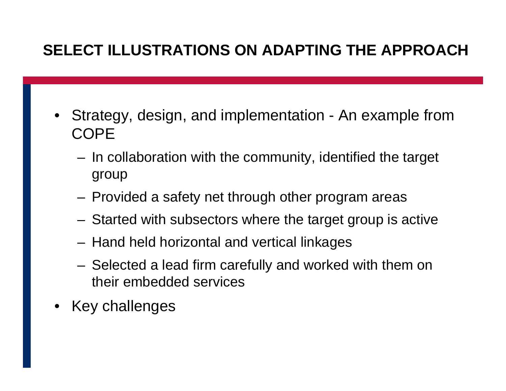#### **SELECT ILLUSTRATIONS ON ADAPTING THE APPROACH**

- Strategy, design, and implementation An example from COPE
	- –- In collaboration with the community, identified the target group
	- Provided a safety net through other program areas
	- Started with subsectors where the target group is active
	- Hand held horizontal and vertical linkages
	- Selected a lead firm carefully and worked with them on their embedded services
- •Key challenges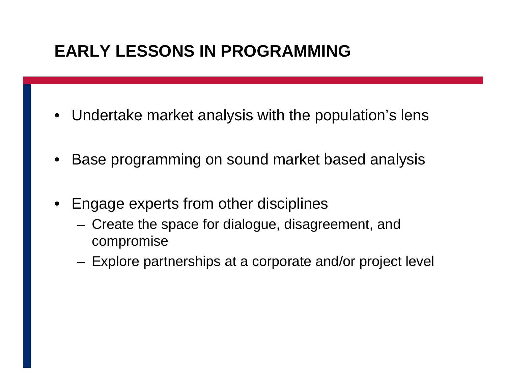## **EARLY LESSONS IN PROGRAMMING**

- $\bullet$ Undertake market analysis with the population's lens
- •Base programming on sound market based analysis
- $\bullet$ Engage experts from other disciplines
	- Create the space for dialogue, disagreement, and compromise
	- Explore partnerships at a corporate and/or project level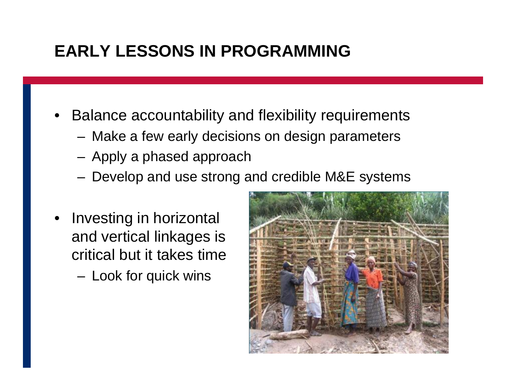## **EARLY LESSONS IN PROGRAMMING**

- •Balance accountability and flexibility requirements
	- Make a few early decisions on design parameters
	- Apply a phased approach
	- Develop and use strong and credible M&E systems
- • Investing in horizontal and vertical linkages is critical but it takes time
	- **Links of the Company**  $-$  Look for quick wins

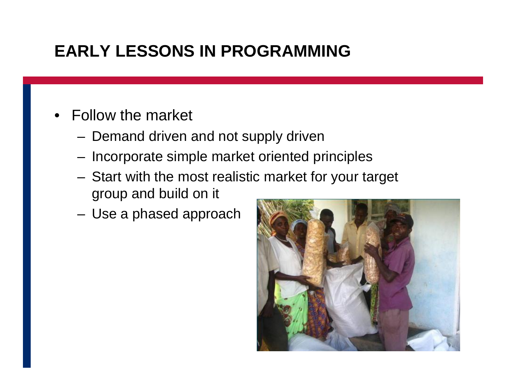## **EARLY LESSONS IN PROGRAMMING**

- Follow the market
	- Demand driven and not supply driven
	- –– Incorporate simple market oriented principles
	- Start with the most realistic market for your target group and build on it
	- Use a phased approach

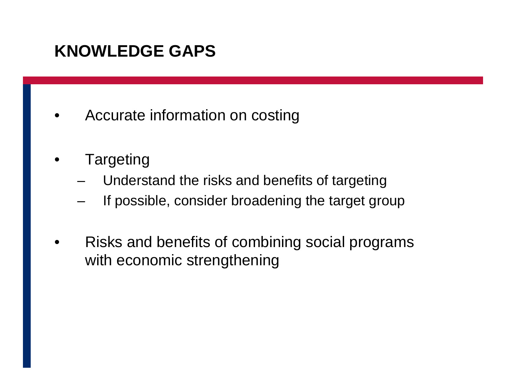## **KNOWLEDGE GAPS**

- •Accurate information on costing
- $\bullet$ Targeting
	- **Links of the Company** Understand the risks and benefits of targeting
	- –If possible, consider broadening the target group
- • Risks and benefits of combining social programs with economic strengthening